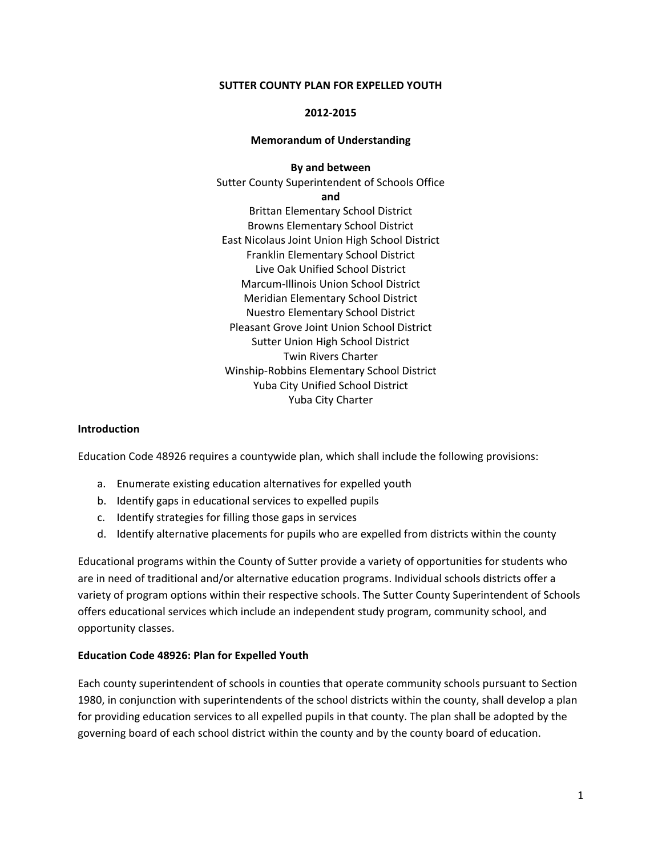#### **SUTTER COUNTY PLAN FOR EXPELLED YOUTH**

#### **2012‐2015**

#### **Memorandum of Understanding**

**By and between**

Sutter County Superintendent of Schools Office **and** Brittan Elementary School District Browns Elementary School District East Nicolaus Joint Union High School District Franklin Elementary School District Live Oak Unified School District Marcum‐Illinois Union School District Meridian Elementary School District Nuestro Elementary School District Pleasant Grove Joint Union School District Sutter Union High School District Twin Rivers Charter Winship‐Robbins Elementary School District Yuba City Unified School District Yuba City Charter

#### **Introduction**

Education Code 48926 requires a countywide plan, which shall include the following provisions:

- a. Enumerate existing education alternatives for expelled youth
- b. Identify gaps in educational services to expelled pupils
- c. Identify strategies for filling those gaps in services
- d. Identify alternative placements for pupils who are expelled from districts within the county

Educational programs within the County of Sutter provide a variety of opportunities for students who are in need of traditional and/or alternative education programs. Individual schools districts offer a variety of program options within their respective schools. The Sutter County Superintendent of Schools offers educational services which include an independent study program, community school, and opportunity classes.

### **Education Code 48926: Plan for Expelled Youth**

Each county superintendent of schools in counties that operate community schools pursuant to Section 1980, in conjunction with superintendents of the school districts within the county, shall develop a plan for providing education services to all expelled pupils in that county. The plan shall be adopted by the governing board of each school district within the county and by the county board of education.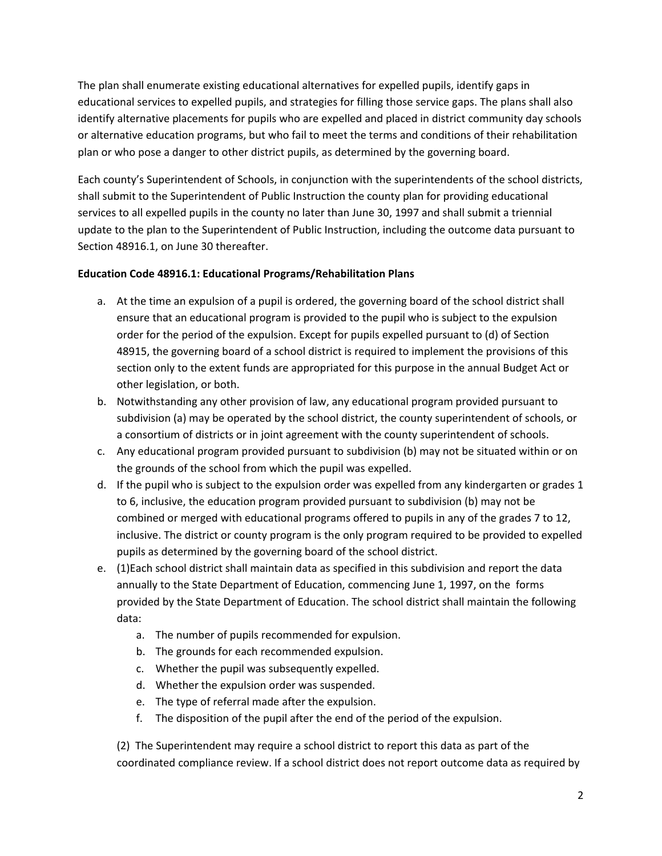The plan shall enumerate existing educational alternatives for expelled pupils, identify gaps in educational services to expelled pupils, and strategies for filling those service gaps. The plans shall also identify alternative placements for pupils who are expelled and placed in district community day schools or alternative education programs, but who fail to meet the terms and conditions of their rehabilitation plan or who pose a danger to other district pupils, as determined by the governing board.

Each county's Superintendent of Schools, in conjunction with the superintendents of the school districts, shall submit to the Superintendent of Public Instruction the county plan for providing educational services to all expelled pupils in the county no later than June 30, 1997 and shall submit a triennial update to the plan to the Superintendent of Public Instruction, including the outcome data pursuant to Section 48916.1, on June 30 thereafter.

# **Education Code 48916.1: Educational Programs/Rehabilitation Plans**

- a. At the time an expulsion of a pupil is ordered, the governing board of the school district shall ensure that an educational program is provided to the pupil who is subject to the expulsion order for the period of the expulsion. Except for pupils expelled pursuant to (d) of Section 48915, the governing board of a school district is required to implement the provisions of this section only to the extent funds are appropriated for this purpose in the annual Budget Act or other legislation, or both.
- b. Notwithstanding any other provision of law, any educational program provided pursuant to subdivision (a) may be operated by the school district, the county superintendent of schools, or a consortium of districts or in joint agreement with the county superintendent of schools.
- c. Any educational program provided pursuant to subdivision (b) may not be situated within or on the grounds of the school from which the pupil was expelled.
- d. If the pupil who is subject to the expulsion order was expelled from any kindergarten or grades 1 to 6, inclusive, the education program provided pursuant to subdivision (b) may not be combined or merged with educational programs offered to pupils in any of the grades 7 to 12, inclusive. The district or county program is the only program required to be provided to expelled pupils as determined by the governing board of the school district.
- e. (1)Each school district shall maintain data as specified in this subdivision and report the data annually to the State Department of Education, commencing June 1, 1997, on the forms provided by the State Department of Education. The school district shall maintain the following data:
	- a. The number of pupils recommended for expulsion.
	- b. The grounds for each recommended expulsion.
	- c. Whether the pupil was subsequently expelled.
	- d. Whether the expulsion order was suspended.
	- e. The type of referral made after the expulsion.
	- f. The disposition of the pupil after the end of the period of the expulsion.

(2) The Superintendent may require a school district to report this data as part of the coordinated compliance review. If a school district does not report outcome data as required by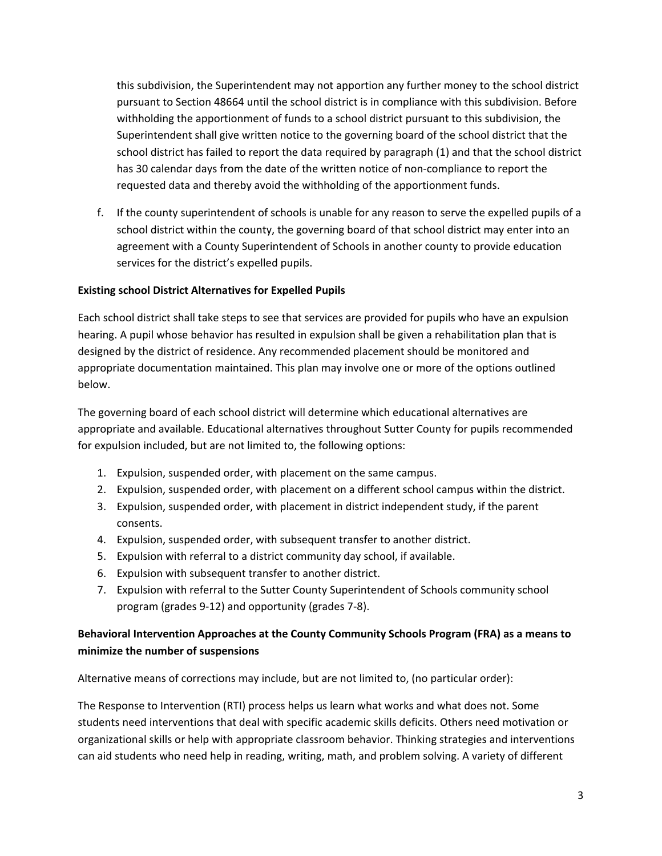this subdivision, the Superintendent may not apportion any further money to the school district pursuant to Section 48664 until the school district is in compliance with this subdivision. Before withholding the apportionment of funds to a school district pursuant to this subdivision, the Superintendent shall give written notice to the governing board of the school district that the school district has failed to report the data required by paragraph (1) and that the school district has 30 calendar days from the date of the written notice of non-compliance to report the requested data and thereby avoid the withholding of the apportionment funds.

f. If the county superintendent of schools is unable for any reason to serve the expelled pupils of a school district within the county, the governing board of that school district may enter into an agreement with a County Superintendent of Schools in another county to provide education services for the district's expelled pupils.

### **Existing school District Alternatives for Expelled Pupils**

Each school district shall take steps to see that services are provided for pupils who have an expulsion hearing. A pupil whose behavior has resulted in expulsion shall be given a rehabilitation plan that is designed by the district of residence. Any recommended placement should be monitored and appropriate documentation maintained. This plan may involve one or more of the options outlined below.

The governing board of each school district will determine which educational alternatives are appropriate and available. Educational alternatives throughout Sutter County for pupils recommended for expulsion included, but are not limited to, the following options:

- 1. Expulsion, suspended order, with placement on the same campus.
- 2. Expulsion, suspended order, with placement on a different school campus within the district.
- 3. Expulsion, suspended order, with placement in district independent study, if the parent consents.
- 4. Expulsion, suspended order, with subsequent transfer to another district.
- 5. Expulsion with referral to a district community day school, if available.
- 6. Expulsion with subsequent transfer to another district.
- 7. Expulsion with referral to the Sutter County Superintendent of Schools community school program (grades 9‐12) and opportunity (grades 7‐8).

# **Behavioral Intervention Approaches at the County Community Schools Program (FRA) as a means to minimize the number of suspensions**

Alternative means of corrections may include, but are not limited to, (no particular order):

The Response to Intervention (RTI) process helps us learn what works and what does not. Some students need interventions that deal with specific academic skills deficits. Others need motivation or organizational skills or help with appropriate classroom behavior. Thinking strategies and interventions can aid students who need help in reading, writing, math, and problem solving. A variety of different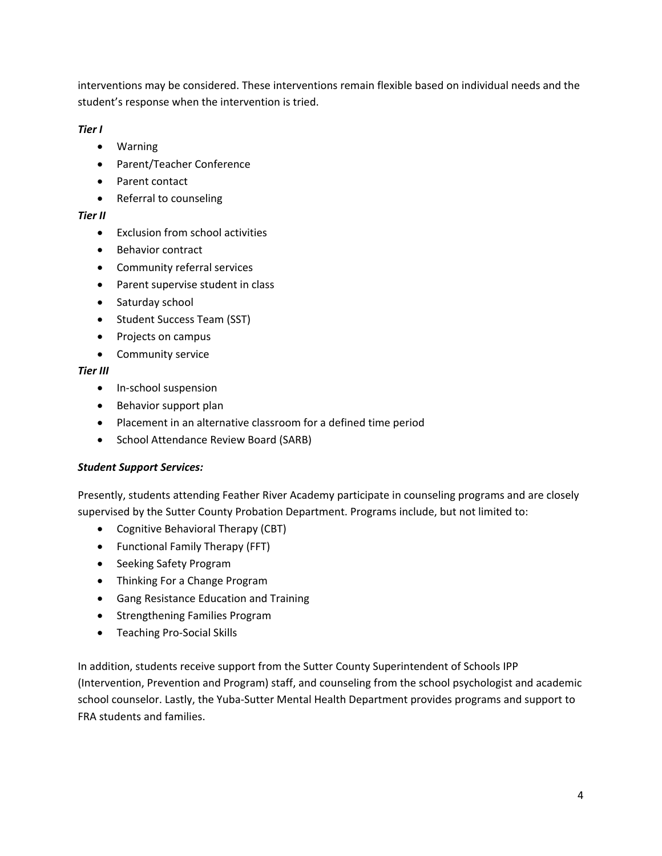interventions may be considered. These interventions remain flexible based on individual needs and the student's response when the intervention is tried.

*Tier I*

- Warning
- Parent/Teacher Conference
- Parent contact
- Referral to counseling

# *Tier II*

- Exclusion from school activities
- Behavior contract
- Community referral services
- Parent supervise student in class
- Saturday school
- Student Success Team (SST)
- Projects on campus
- **•** Community service

# *Tier III*

- In-school suspension
- Behavior support plan
- Placement in an alternative classroom for a defined time period
- School Attendance Review Board (SARB)

# *Student Support Services:*

Presently, students attending Feather River Academy participate in counseling programs and are closely supervised by the Sutter County Probation Department. Programs include, but not limited to:

- Cognitive Behavioral Therapy (CBT)
- Functional Family Therapy (FFT)
- Seeking Safety Program
- Thinking For a Change Program
- Gang Resistance Education and Training
- Strengthening Families Program
- Teaching Pro-Social Skills

In addition, students receive support from the Sutter County Superintendent of Schools IPP (Intervention, Prevention and Program) staff, and counseling from the school psychologist and academic school counselor. Lastly, the Yuba‐Sutter Mental Health Department provides programs and support to FRA students and families.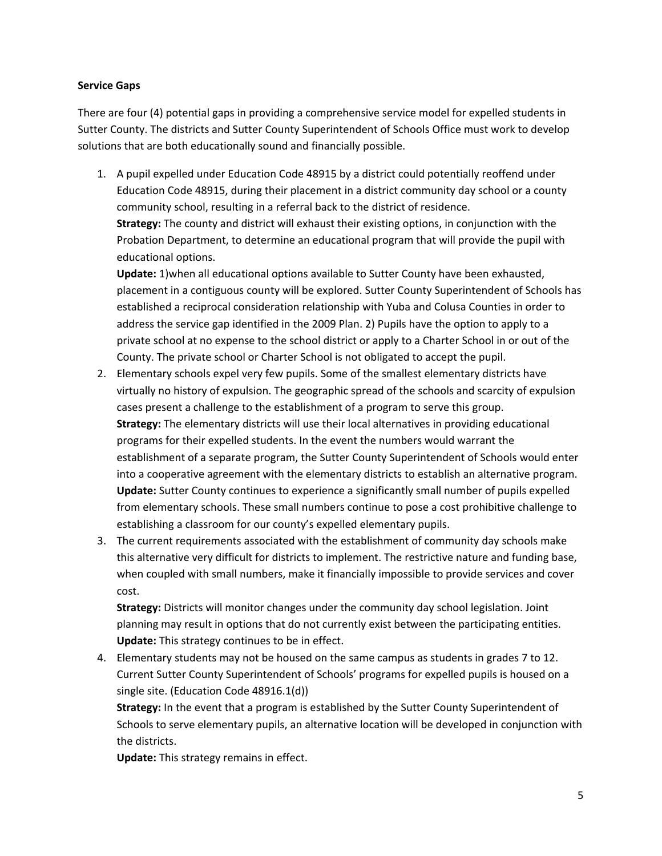### **Service Gaps**

There are four (4) potential gaps in providing a comprehensive service model for expelled students in Sutter County. The districts and Sutter County Superintendent of Schools Office must work to develop solutions that are both educationally sound and financially possible.

1. A pupil expelled under Education Code 48915 by a district could potentially reoffend under Education Code 48915, during their placement in a district community day school or a county community school, resulting in a referral back to the district of residence. **Strategy:** The county and district will exhaust their existing options, in conjunction with the

Probation Department, to determine an educational program that will provide the pupil with educational options.

**Update:** 1)when all educational options available to Sutter County have been exhausted, placement in a contiguous county will be explored. Sutter County Superintendent of Schools has established a reciprocal consideration relationship with Yuba and Colusa Counties in order to address the service gap identified in the 2009 Plan. 2) Pupils have the option to apply to a private school at no expense to the school district or apply to a Charter School in or out of the County. The private school or Charter School is not obligated to accept the pupil.

- 2. Elementary schools expel very few pupils. Some of the smallest elementary districts have virtually no history of expulsion. The geographic spread of the schools and scarcity of expulsion cases present a challenge to the establishment of a program to serve this group. **Strategy:** The elementary districts will use their local alternatives in providing educational programs for their expelled students. In the event the numbers would warrant the establishment of a separate program, the Sutter County Superintendent of Schools would enter into a cooperative agreement with the elementary districts to establish an alternative program. **Update:** Sutter County continues to experience a significantly small number of pupils expelled from elementary schools. These small numbers continue to pose a cost prohibitive challenge to establishing a classroom for our county's expelled elementary pupils.
- 3. The current requirements associated with the establishment of community day schools make this alternative very difficult for districts to implement. The restrictive nature and funding base, when coupled with small numbers, make it financially impossible to provide services and cover cost.

**Strategy:** Districts will monitor changes under the community day school legislation. Joint planning may result in options that do not currently exist between the participating entities. **Update:** This strategy continues to be in effect.

4. Elementary students may not be housed on the same campus as students in grades 7 to 12. Current Sutter County Superintendent of Schools' programs for expelled pupils is housed on a single site. (Education Code 48916.1(d))

**Strategy:** In the event that a program is established by the Sutter County Superintendent of Schools to serve elementary pupils, an alternative location will be developed in conjunction with the districts.

**Update:** This strategy remains in effect.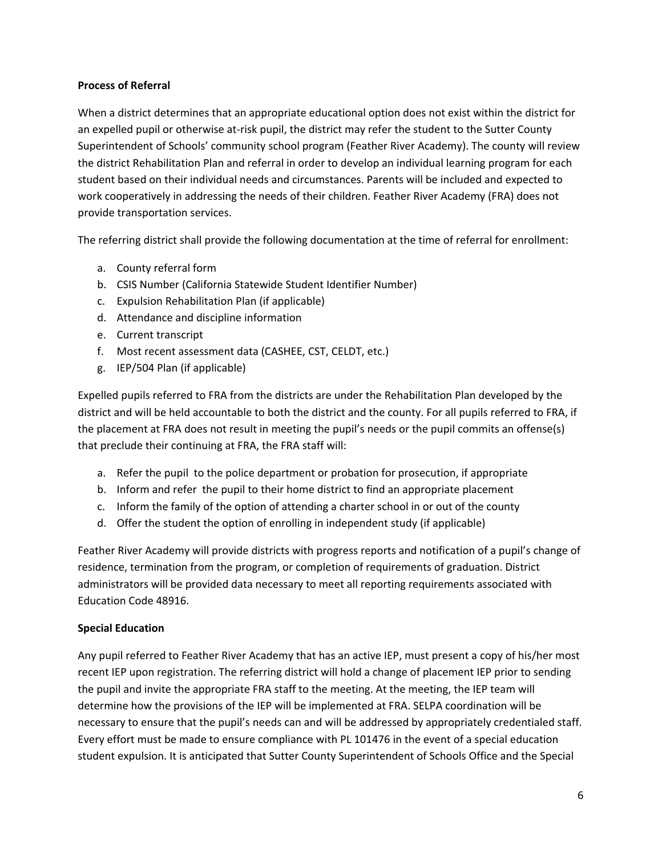### **Process of Referral**

When a district determines that an appropriate educational option does not exist within the district for an expelled pupil or otherwise at-risk pupil, the district may refer the student to the Sutter County Superintendent of Schools' community school program (Feather River Academy). The county will review the district Rehabilitation Plan and referral in order to develop an individual learning program for each student based on their individual needs and circumstances. Parents will be included and expected to work cooperatively in addressing the needs of their children. Feather River Academy (FRA) does not provide transportation services.

The referring district shall provide the following documentation at the time of referral for enrollment:

- a. County referral form
- b. CSIS Number (California Statewide Student Identifier Number)
- c. Expulsion Rehabilitation Plan (if applicable)
- d. Attendance and discipline information
- e. Current transcript
- f. Most recent assessment data (CASHEE, CST, CELDT, etc.)
- g. IEP/504 Plan (if applicable)

Expelled pupils referred to FRA from the districts are under the Rehabilitation Plan developed by the district and will be held accountable to both the district and the county. For all pupils referred to FRA, if the placement at FRA does not result in meeting the pupil's needs or the pupil commits an offense(s) that preclude their continuing at FRA, the FRA staff will:

- a. Refer the pupil to the police department or probation for prosecution, if appropriate
- b. Inform and refer the pupil to their home district to find an appropriate placement
- c. Inform the family of the option of attending a charter school in or out of the county
- d. Offer the student the option of enrolling in independent study (if applicable)

Feather River Academy will provide districts with progress reports and notification of a pupil's change of residence, termination from the program, or completion of requirements of graduation. District administrators will be provided data necessary to meet all reporting requirements associated with Education Code 48916.

### **Special Education**

Any pupil referred to Feather River Academy that has an active IEP, must present a copy of his/her most recent IEP upon registration. The referring district will hold a change of placement IEP prior to sending the pupil and invite the appropriate FRA staff to the meeting. At the meeting, the IEP team will determine how the provisions of the IEP will be implemented at FRA. SELPA coordination will be necessary to ensure that the pupil's needs can and will be addressed by appropriately credentialed staff. Every effort must be made to ensure compliance with PL 101476 in the event of a special education student expulsion. It is anticipated that Sutter County Superintendent of Schools Office and the Special